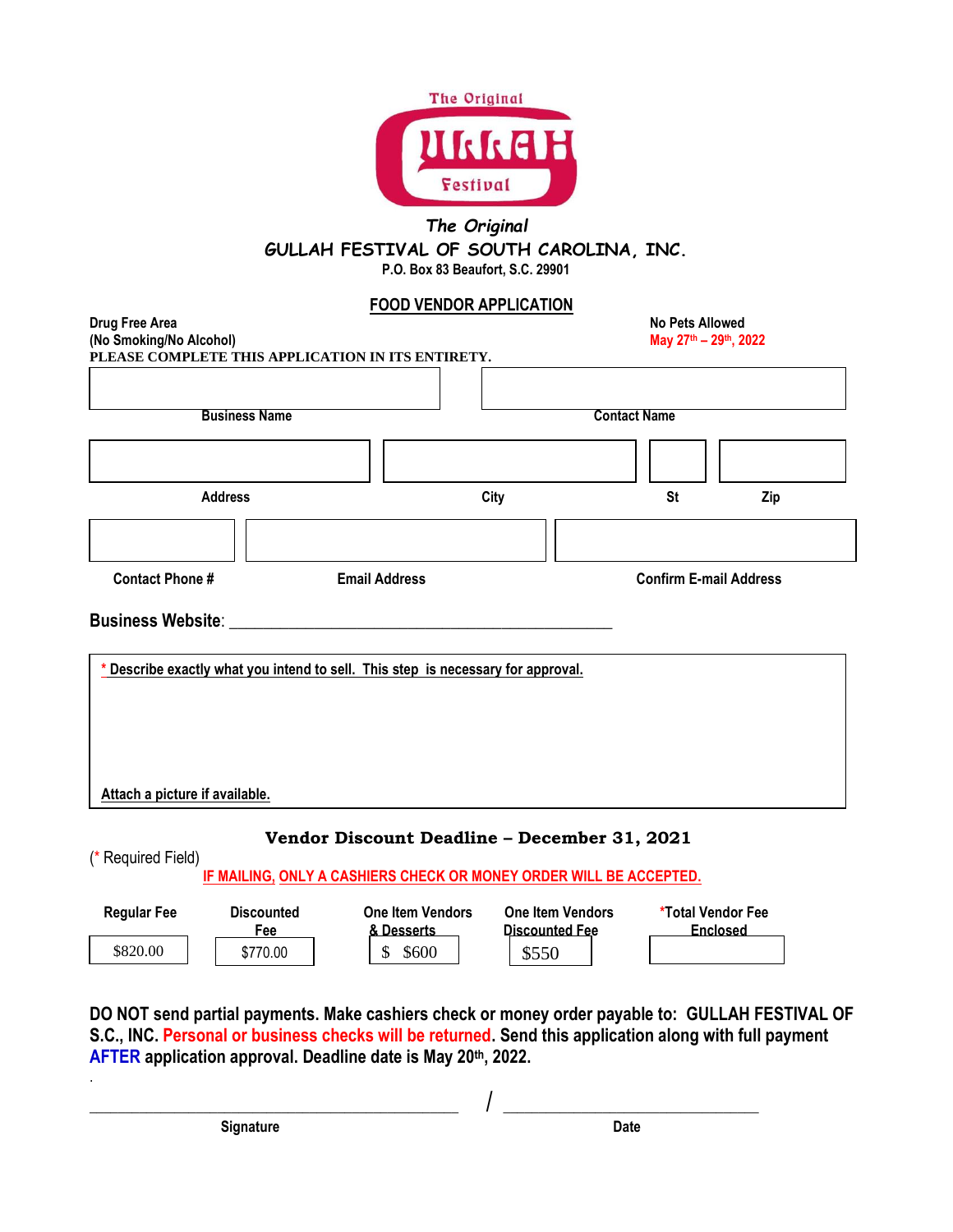

## *The Original* **GULLAH FESTIVAL OF SOUTH CAROLINA, INC. P.O. Box 83 Beaufort, S.C. 29901**

## **FOOD VENDOR APPLICATION**

| Drug Free Area<br>(No Smoking/No Alcohol)     |                          |                                                                                | <b>No Pets Allowed</b><br>May 27th - 29th, 2022 |                                      |     |  |
|-----------------------------------------------|--------------------------|--------------------------------------------------------------------------------|-------------------------------------------------|--------------------------------------|-----|--|
|                                               |                          | PLEASE COMPLETE THIS APPLICATION IN ITS ENTIRETY.                              |                                                 |                                      |     |  |
|                                               |                          |                                                                                |                                                 |                                      |     |  |
|                                               | <b>Business Name</b>     |                                                                                | <b>Contact Name</b>                             |                                      |     |  |
|                                               |                          |                                                                                |                                                 |                                      |     |  |
| <b>Address</b>                                |                          |                                                                                | City                                            |                                      | Zip |  |
|                                               |                          |                                                                                |                                                 |                                      |     |  |
| <b>Contact Phone#</b><br><b>Email Address</b> |                          |                                                                                |                                                 | <b>Confirm E-mail Address</b>        |     |  |
| Attach a picture if available.                |                          | Describe exactly what you intend to sell. This step is necessary for approval. |                                                 |                                      |     |  |
|                                               |                          | Vendor Discount Deadline - December 31, 2021                                   |                                                 |                                      |     |  |
| (* Required Field)                            |                          | IF MAILING, ONLY A CASHIERS CHECK OR MONEY ORDER WILL BE ACCEPTED.             |                                                 |                                      |     |  |
| <b>Regular Fee</b>                            | <b>Discounted</b><br>Fee | <b>One Item Vendors</b><br>& Desserts                                          | <b>One Item Vendors</b><br>Discounted Fee       | *Total Vendor Fee<br><b>Enclosed</b> |     |  |
| \$820.00                                      | \$770.00                 | \$500                                                                          | \$550                                           |                                      |     |  |

**DO NOT send partial payments. Make cashiers check or money order payable to: GULLAH FESTIVAL OF S.C., INC. Personal or business checks will be returned. Send this application along with full payment AFTER application approval. Deadline date is May 20th, 2022.** 

\_\_\_\_\_\_\_\_\_\_\_\_\_\_\_\_\_\_\_\_\_\_\_\_\_\_\_\_\_\_\_\_\_\_\_\_\_\_\_\_\_\_\_\_\_\_\_\_\_\_\_\_ / \_\_\_\_\_\_\_\_\_\_\_\_\_\_\_\_\_\_\_\_\_\_\_\_\_\_\_\_\_\_\_\_\_\_\_\_ **Signature Date** 

.